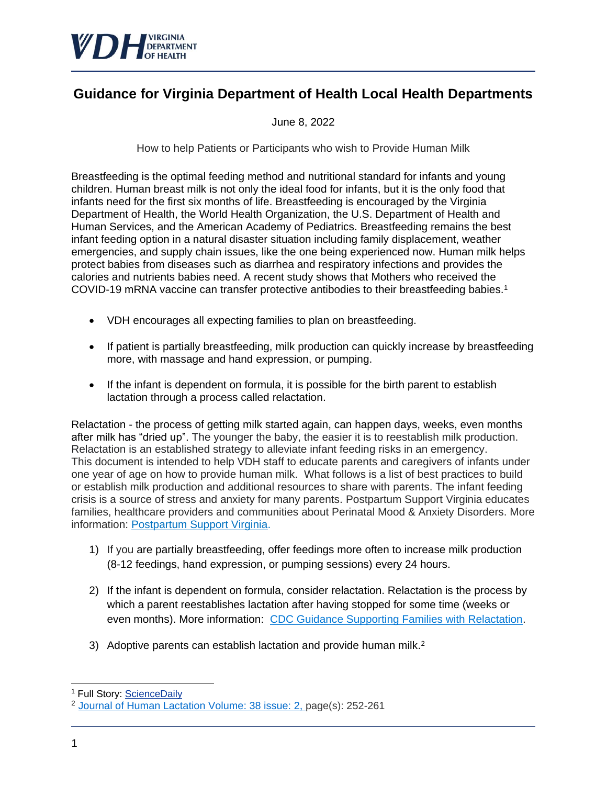

## **Guidance for Virginia Department of Health Local Health Departments**

June 8, 2022

How to help Patients or Participants who wish to Provide Human Milk

Breastfeeding is the optimal feeding method and nutritional standard for infants and young children. Human breast milk is not only the ideal food for infants, but it is the only food that infants need for the first six months of life. Breastfeeding is encouraged by the Virginia Department of Health, the World Health Organization, the U.S. Department of Health and Human Services, and the American Academy of Pediatrics. Breastfeeding remains the best infant feeding option in a natural disaster situation including family displacement, weather emergencies, and supply chain issues, like the one being experienced now. Human milk helps protect babies from diseases such as diarrhea and respiratory infections and provides the calories and nutrients babies need. A recent study shows that Mothers who received the COVID-19 mRNA vaccine can transfer protective antibodies to their breastfeeding babies.<sup>1</sup>

- VDH encourages all expecting families to plan on breastfeeding.
- If patient is partially breastfeeding, milk production can quickly increase by breastfeeding more, with massage and hand expression, or pumping.
- If the infant is dependent on formula, it is possible for the birth parent to establish lactation through a process called relactation.

Relactation - the process of getting milk started again, can happen days, weeks, even months after milk has "dried up". The younger the baby, the easier it is to reestablish milk production. Relactation is an established strategy to alleviate infant feeding risks in an emergency. This document is intended to help VDH staff to educate parents and caregivers of infants under one year of age on how to provide human milk. What follows is a list of best practices to build or establish milk production and additional resources to share with parents. The infant feeding crisis is a source of stress and anxiety for many parents. Postpartum Support Virginia educates families, healthcare providers and communities about Perinatal Mood & Anxiety Disorders. More information: [Postpartum Support Virginia.](https://postpartumva.org/)

- 1) If you are partially breastfeeding, offer feedings more often to increase milk production (8-12 feedings, hand expression, or pumping sessions) every 24 hours.
- 2) If the infant is dependent on formula, consider relactation. Relactation is the process by which a parent reestablishes lactation after having stopped for some time (weeks or even months). More information: CDC Guidance Supporting Families with Relactation.
- 3) Adoptive parents can establish lactation and provide human milk.<sup>2</sup>

 <sup>1</sup> Full Story: [ScienceDaily](https://urldefense.com/v3/__http:/r.smartbrief.com/resp/oGsaCqyrlvDrtusNCidKqYBWcNBNHD?format=multipart__;!!JqxBPMk!zrL5mrgeLVvKMRV3PauMcaLAJ2fZJZ-ymfFdnT0nPPDJFdU5QB0Noxh1Jm3f7KSv9eoQP6E$)

<sup>2</sup> [Journal of Human Lactation Volume: 38 issue: 2,](https://journals.sagepub.com/toc/jhl/38/2) page(s): 252-261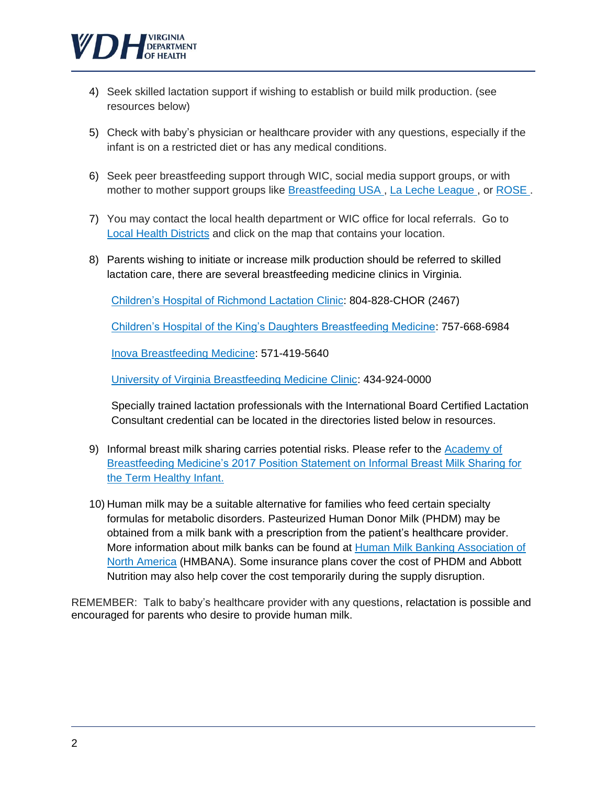

- 4) Seek skilled lactation support if wishing to establish or build milk production. (see resources below)
- 5) Check with baby's physician or healthcare provider with any questions, especially if the infant is on a restricted diet or has any medical conditions.
- 6) Seek peer breastfeeding support through WIC, social media support groups, or with mother to mother support groups like [Breastfeeding USA ,](https://breastfeedingusa.org/) [La Leche League ,](https://lllusa.org/) or [ROSE .](https://breastfeedingrose.org/resources/)
- 7) You may contact the local health department or WIC office for local referrals. Go to [Local Health Districts](https://www.vdh.virginia.gov/local-health-districts/) and click on the map that contains your location.
- 8) Parents wishing to initiate or increase milk production should be referred to skilled lactation care, there are several breastfeeding medicine clinics in Virginia.

[Children's Hospital of Richmond Lactation Clinic:](https://www.chrichmond.org/services/primary-care/lactation/lactation-services) 804-828-CHOR (2467)

[Children's Hospital of the King's Daughters Breastfeeding Medicine:](https://www.chkd.org/Our-Services/Specialty-Care-and-Programs/Breastfeeding-Medicine/) 757-668-6984

[Inova Breastfeeding Medicine:](https://www.inova.org/locations/inova-breastfeeding-medicine) [571-419-5640](tel:5714195640)

[University of Virginia Breastfeeding Medicine Clinic:](https://uvahealth.com/locations/profile/breastfeeding-medicine-clinic) 434-924-0000

Specially trained lactation professionals with the International Board Certified Lactation Consultant credential can be located in the directories listed below in resources.

- 9) Informal breast milk sharing carries potential risks. Please refer to the Academy of [Breastfeeding Medicine's 2017 Position Statement on Informal Breast Milk Sharing for](https://abm.memberclicks.net/assets/DOCUMENTS/ABM%27s%202017%20Position%20Statement%20on%20Informal%20Breast%20Milk%20Sharing%20for%20the%20Term%20Healthy%20Infant.pdf)  [the Term Healthy Infant.](https://abm.memberclicks.net/assets/DOCUMENTS/ABM%27s%202017%20Position%20Statement%20on%20Informal%20Breast%20Milk%20Sharing%20for%20the%20Term%20Healthy%20Infant.pdf)
- 10) Human milk may be a suitable alternative for families who feed certain specialty formulas for metabolic disorders. Pasteurized Human Donor Milk (PHDM) may be obtained from a milk bank with a prescription from the patient's healthcare provider. More information about milk banks can be found at [Human Milk Banking Association of](https://www.hmbana.org/)  [North America](https://www.hmbana.org/) (HMBANA). Some insurance plans cover the cost of PHDM and Abbott Nutrition may also help cover the cost temporarily during the supply disruption.

REMEMBER: Talk to baby's healthcare provider with any questions, relactation is possible and encouraged for parents who desire to provide human milk.